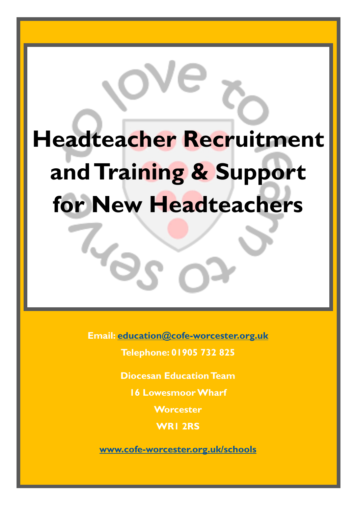# **Headteacher Recruitment and Training & Support for New Headteachers**

**Email: [education@cofe-worcester.org.uk](mailto:education@cofe-worcester.org.uk)**

 $V_{\rm c}$ 

**Telephone: 01905 732 825**

**Diocesan Education Team**

**16 Lowesmoor Wharf**

**Worcester**

**WR1 2RS**

**[www.cofe-worcester.org.uk/schools](https://www.cofe-worcester.org.uk/schools/)**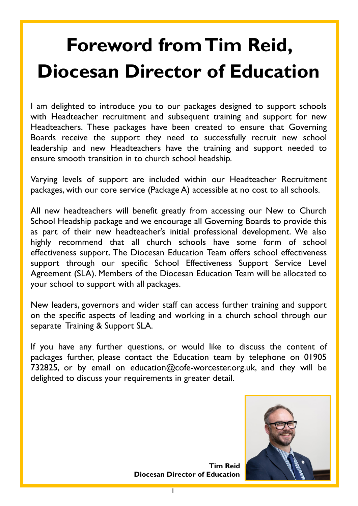# **Foreword from Tim Reid, Diocesan Director of Education**

I am delighted to introduce you to our packages designed to support schools with Headteacher recruitment and subsequent training and support for new Headteachers. These packages have been created to ensure that Governing Boards receive the support they need to successfully recruit new school leadership and new Headteachers have the training and support needed to ensure smooth transition in to church school headship.

Varying levels of support are included within our Headteacher Recruitment packages, with our core service (Package A) accessible at no cost to all schools.

All new headteachers will benefit greatly from accessing our New to Church School Headship package and we encourage all Governing Boards to provide this as part of their new headteacher's initial professional development. We also highly recommend that all church schools have some form of school effectiveness support. The Diocesan Education Team offers school effectiveness support through our specific School Effectiveness Support Service Level Agreement (SLA). Members of the Diocesan Education Team will be allocated to your school to support with all packages.

New leaders, governors and wider staff can access further training and support on the specific aspects of leading and working in a church school through our separate Training & Support SLA.

If you have any further questions, or would like to discuss the content of packages further, please contact the Education team by telephone on 01905 732825, or by email on education@cofe-worcester.org.uk, and they will be delighted to discuss your requirements in greater detail.



**Tim Reid Diocesan Director of Education**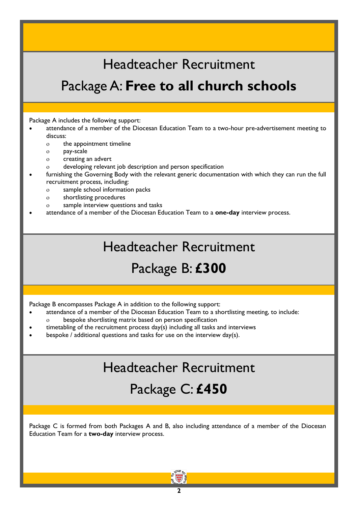#### Headteacher Recruitment

#### Package A: **Free to all church schools**

Package A includes the following support:

- attendance of a member of the Diocesan Education Team to a two-hour pre-advertisement meeting to discuss:
	- o the appointment timeline
	- pay-scale
	- o creating an advert
	- developing relevant job description and person specification
- furnishing the Governing Body with the relevant generic documentation with which they can run the full recruitment process, including:
	- sample school information packs
	- shortlisting procedures
	- sample interview questions and tasks
- attendance of a member of the Diocesan Education Team to a **one-day** interview process.

#### Headteacher Recruitment

#### Package B: **£300**

Package B encompasses Package A in addition to the following support:

- attendance of a member of the Diocesan Education Team to a shortlisting meeting, to include:
	- bespoke shortlisting matrix based on person specification
- timetabling of the recruitment process day(s) including all tasks and interviews
- bespoke / additional questions and tasks for use on the interview day(s).

#### Headteacher Recruitment

#### Package C: **£450**

Package C is formed from both Packages A and B, also including attendance of a member of the Diocesan Education Team for a **two-day** interview process.

**2**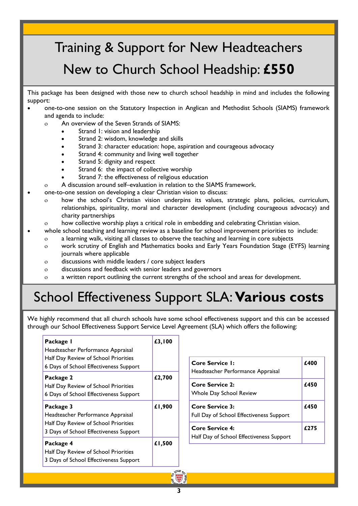### Training & Support for New Headteachers New to Church School Headship: **£550**

This package has been designed with those new to church school headship in mind and includes the following support:

- one-to-one session on the Statutory Inspection in Anglican and Methodist Schools (SIAMS) framework and agenda to include:
	- An overview of the Seven Strands of SIAMS:
		- Strand 1: vision and leadership
		- Strand 2: wisdom, knowledge and skills
		- Strand 3: character education: hope, aspiration and courageous advocacy
		- Strand 4: community and living well together
		- Strand 5: dignity and respect
		- Strand 6: the impact of collective worship
		- Strand 7: the effectiveness of religious education
	- A discussion around self–evaluation in relation to the SIAMS framework.
- one-to-one session on developing a clear Christian vision to discuss:
	- how the school's Christian vision underpins its values, strategic plans, policies, curriculum, relationships, spirituality, moral and character development (including courageous advocacy) and charity partnerships
	- how collective worship plays a critical role in embedding and celebrating Christian vision.
- whole school teaching and learning review as a baseline for school improvement priorities to include:
	- a learning walk, visiting all classes to observe the teaching and learning in core subjects
		- work scrutiny of English and Mathematics books and Early Years Foundation Stage (EYFS) learning journals where applicable
		- discussions with middle leaders / core subject leaders
		- discussions and feedback with senior leaders and governors
		- a written report outlining the current strengths of the school and areas for development.

#### School Effectiveness Support SLA: **Various costs**

We highly recommend that all church schools have some school effectiveness support and this can be accessed through our School Effectiveness Support Service Level Agreement (SLA) which offers the following:

| Package I<br>Headteacher Performance Appraisal<br>Half Day Review of School Priorities<br>6 Days of School Effectiveness Support | £3,100 | <b>Core Service I:</b><br>Headteacher Performance Appraisal        | £400 |
|----------------------------------------------------------------------------------------------------------------------------------|--------|--------------------------------------------------------------------|------|
| Package 2<br>Half Day Review of School Priorities<br>6 Days of School Effectiveness Support                                      | £2,700 | <b>Core Service 2:</b><br>Whole Day School Review                  | £450 |
| Package 3<br>Headteacher Performance Appraisal                                                                                   | £1,900 | <b>Core Service 3:</b><br>Full Day of School Effectiveness Support | £450 |
| Half Day Review of School Priorities<br>3 Days of School Effectiveness Support                                                   |        | <b>Core Service 4:</b><br>Half Day of School Effectiveness Support | £275 |
| Package 4<br>Half Day Review of School Priorities<br>3 Days of School Effectiveness Support                                      | £1,500 |                                                                    |      |